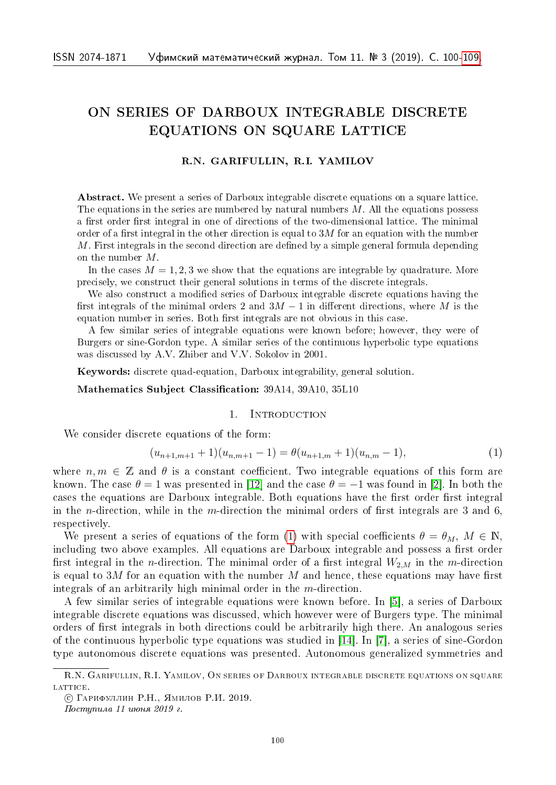# ON SERIES OF DARBOUX INTEGRABLE DISCRETE EQUATIONS ON SQUARE LATTICE

# R.N. GARIFULLIN, R.I. YAMILOV

Abstract. We present a series of Darboux integrable discrete equations on a square lattice. The equations in the series are numbered by natural numbers  $M$ . All the equations possess a first order first integral in one of directions of the two-dimensional lattice. The minimal order of a first integral in the other direction is equal to  $3M$  for an equation with the number  $M$ . First integrals in the second direction are defined by a simple general formula depending on the number  $M$ .

In the cases  $M = 1, 2, 3$  we show that the equations are integrable by quadrature. More precisely, we construct their general solutions in terms of the discrete integrals.

We also construct a modified series of Darboux integrable discrete equations having the first integrals of the minimal orders 2 and  $3M - 1$  in different directions, where M is the equation number in series. Both first integrals are not obvious in this case.

A few similar series of integrable equations were known before; however, they were of Burgers or sine-Gordon type. A similar series of the continuous hyperbolic type equations was discussed by A.V. Zhiber and V.V. Sokolov in 2001.

Keywords: discrete quad-equation, Darboux integrability, general solution.

Mathematics Subject Classification: 39A14, 39A10, 35L10

### 1. INTRODUCTION

We consider discrete equations of the form:

<span id="page-0-0"></span>
$$
(u_{n+1,m+1}+1)(u_{n,m+1}-1) = \theta(u_{n+1,m}+1)(u_{n,m}-1),
$$
\n(1)

where  $n, m \in \mathbb{Z}$  and  $\theta$  is a constant coefficient. Two integrable equations of this form are known. The case  $\theta = 1$  was presented in [\[12\]](#page-9-1) and the case  $\theta = -1$  was found in [\[2\]](#page-8-0). In both the cases the equations are Darboux integrable. Both equations have the first order first integral in the *n*-direction, while in the *m*-direction the minimal orders of first integrals are 3 and 6. respectively.

We present a series of equations of the form [\(1\)](#page-0-0) with special coefficients  $\theta = \theta_M$ ,  $M \in \mathbb{N}$ . including two above examples. All equations are Darboux integrable and possess a first order first integral in the *n*-direction. The minimal order of a first integral  $W_{2,M}$  in the *m*-direction is equal to 3M for an equation with the number  $M$  and hence, these equations may have first integrals of an arbitrarily high minimal order in the  $m$ -direction.

A few similar series of integrable equations were known before. In [\[5\]](#page-8-1), a series of Darboux integrable discrete equations was discussed, which however were of Burgers type. The minimal orders of first integrals in both directions could be arbitrarily high there. An analogous series of the continuous hyperbolic type equations was studied in [\[14\]](#page-9-2). In [\[7\]](#page-9-3), a series of sine-Gordon type autonomous discrete equations was presented. Autonomous generalized symmetries and

Поступила 11 июня 2019 г.

R.N. Garifullin, R.I. Yamilov, On series of Darboux integrable discrete equations on square LATTICE.

<sup>○</sup>c Гарифуллин Р.Н., Ямилов Р.И. 2019.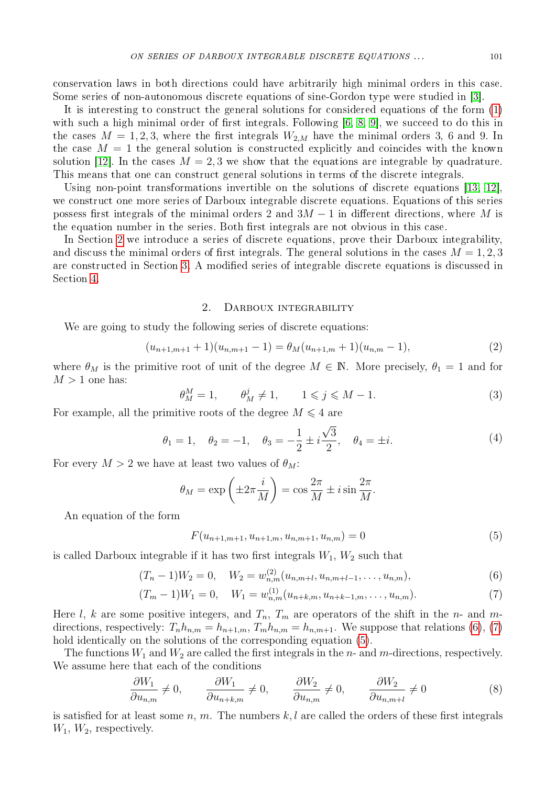conservation laws in both directions could have arbitrarily high minimal orders in this case. Some series of non-autonomous discrete equations of sine-Gordon type were studied in [\[3\]](#page-8-2).

It is interesting to construct the general solutions for considered equations of the form [\(1\)](#page-0-0) with such a high minimal order of first integrals. Following [\[6,](#page-9-4) [8,](#page-9-5) [9\]](#page-9-6), we succeed to do this in the cases  $M = 1, 2, 3$ , where the first integrals  $W_{2,M}$  have the minimal orders 3, 6 and 9. In the case  $M = 1$  the general solution is constructed explicitly and coincides with the known solution [\[12\]](#page-9-1). In the cases  $M = 2, 3$  we show that the equations are integrable by quadrature. This means that one can construct general solutions in terms of the discrete integrals.

Using non-point transformations invertible on the solutions of discrete equations [\[13,](#page-9-7) [12\]](#page-9-1), we construct one more series of Darboux integrable discrete equations. Equations of this series possess first integrals of the minimal orders 2 and  $3M - 1$  in different directions, where M is the equation number in the series. Both first integrals are not obvious in this case.

In Section [2](#page-1-0) we introduce a series of discrete equations, prove their Darboux integrability, and discuss the minimal orders of first integrals. The general solutions in the cases  $M = 1, 2, 3$ are constructed in Section [3.](#page-3-0) A modified series of integrable discrete equations is discussed in Section [4.](#page-7-0)

#### 2. Darboux integrability

<span id="page-1-0"></span>We are going to study the following series of discrete equations:

<span id="page-1-4"></span>
$$
(u_{n+1,m+1}+1)(u_{n,m+1}-1) = \theta_M(u_{n+1,m}+1)(u_{n,m}-1),
$$
\n(2)

where  $\theta_M$  is the primitive root of unit of the degree  $M \in \mathbb{N}$ . More precisely,  $\theta_1 = 1$  and for  $M > 1$  one has:

<span id="page-1-6"></span>
$$
\theta_M^M = 1, \qquad \theta_M^j \neq 1, \qquad 1 \le j \le M - 1. \tag{3}
$$

For example, all the primitive roots of the degree  $M \leq 4$  are

$$
\theta_1 = 1, \quad \theta_2 = -1, \quad \theta_3 = -\frac{1}{2} \pm i \frac{\sqrt{3}}{2}, \quad \theta_4 = \pm i.
$$
\n(4)

For every  $M > 2$  we have at least two values of  $\theta_M$ :

$$
\theta_M = \exp\left(\pm 2\pi \frac{i}{M}\right) = \cos\frac{2\pi}{M} \pm i\sin\frac{2\pi}{M}.
$$

An equation of the form

<span id="page-1-3"></span><span id="page-1-2"></span><span id="page-1-1"></span>
$$
F(u_{n+1,m+1}, u_{n+1,m}, u_{n,m+1}, u_{n,m}) = 0
$$
\n<sup>(5)</sup>

is called Darboux integrable if it has two first integrals  $W_1, W_2$  such that

$$
(T_n - 1)W_2 = 0, \quad W_2 = w_{n,m}^{(2)}(u_{n,m+l}, u_{n,m+l-1}, \dots, u_{n,m}),
$$
\n(6)

$$
(T_m - 1)W_1 = 0, \quad W_1 = w_{n,m}^{(1)}(u_{n+k,m}, u_{n+k-1,m}, \dots, u_{n,m}).
$$
\n<sup>(7)</sup>

Here *l*, *k* are some positive integers, and  $T_n$ ,  $T_m$  are operators of the shift in the *n*- and *m*directions, respectively:  $T_n h_{n,m} = h_{n+1,m}$ ,  $T_m h_{n,m} = h_{n,m+1}$ . We suppose that relations [\(6\)](#page-1-1), [\(7\)](#page-1-2) hold identically on the solutions of the corresponding equation  $(5)$ .

The functions  $W_1$  and  $W_2$  are called the first integrals in the  $n$ - and  $m$ -directions, respectively. We assume here that each of the conditions

<span id="page-1-5"></span>
$$
\frac{\partial W_1}{\partial u_{n,m}} \neq 0, \qquad \frac{\partial W_1}{\partial u_{n+k,m}} \neq 0, \qquad \frac{\partial W_2}{\partial u_{n,m}} \neq 0, \qquad \frac{\partial W_2}{\partial u_{n,m+l}} \neq 0 \tag{8}
$$

is satisfied for at least some  $n, m$ . The numbers  $k, l$  are called the orders of these first integrals  $W_1, W_2$ , respectively.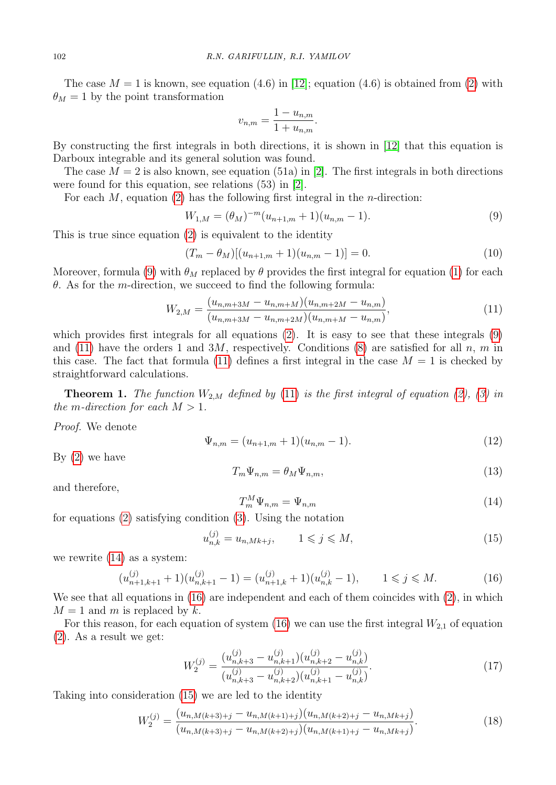The case  $M = 1$  is known, see equation (4.6) in [\[12\]](#page-9-1); equation (4.6) is obtained from [\(2\)](#page-1-4) with  $\theta_M = 1$  by the point transformation

$$
v_{n,m} = \frac{1 - u_{n,m}}{1 + u_{n,m}}.
$$

By constructing the first integrals in both directions, it is shown in [\[12\]](#page-9-1) that this equation is Darboux integrable and its general solution was found.

The case  $M = 2$  is also known, see equation (51a) in [\[2\]](#page-8-0). The first integrals in both directions were found for this equation, see relations (53) in [\[2\]](#page-8-0).

For each  $M$ , equation [\(2\)](#page-1-4) has the following first integral in the *n*-direction:

<span id="page-2-0"></span>
$$
W_{1,M} = (\theta_M)^{-m} (u_{n+1,m} + 1)(u_{n,m} - 1).
$$
\n(9)

This is true since equation [\(2\)](#page-1-4) is equivalent to the identity

$$
(T_m - \theta_M)[(u_{n+1,m} + 1)(u_{n,m} - 1)] = 0.
$$
\n(10)

Moreover, formula [\(9\)](#page-2-0) with  $\theta_M$  replaced by  $\theta$  provides the first integral for equation [\(1\)](#page-0-0) for each  $\theta$ . As for the *m*-direction, we succeed to find the following formula:

<span id="page-2-1"></span>
$$
W_{2,M} = \frac{(u_{n,m+3M} - u_{n,m+M})(u_{n,m+2M} - u_{n,m})}{(u_{n,m+3M} - u_{n,m+2M})(u_{n,m+M} - u_{n,m})},
$$
\n(11)

which provides first integrals for all equations [\(2\)](#page-1-4). It is easy to see that these integrals [\(9\)](#page-2-0) and [\(11\)](#page-2-1) have the orders 1 and 3M, respectively. Conditions [\(8\)](#page-1-5) are satisfied for all  $n, m$  in this case. The fact that formula [\(11\)](#page-2-1) defines a first integral in the case  $M = 1$  is checked by straightforward calculations.

**Theorem 1.** The function  $W_{2,M}$  defined by [\(11\)](#page-2-1) is the first integral of equation [\(2\)](#page-1-4), [\(3\)](#page-1-6) in the m-direction for each  $M > 1$ .

Proof. We denote

$$
\Psi_{n,m} = (u_{n+1,m} + 1)(u_{n,m} - 1). \tag{12}
$$

By [\(2\)](#page-1-4) we have

<span id="page-2-5"></span>
$$
T_m \Psi_{n,m} = \theta_M \Psi_{n,m},\tag{13}
$$

and therefore,

<span id="page-2-2"></span>
$$
T_m^M \Psi_{n,m} = \Psi_{n,m} \tag{14}
$$

for equations [\(2\)](#page-1-4) satisfying condition [\(3\)](#page-1-6). Using the notation

<span id="page-2-4"></span>
$$
u_{n,k}^{(j)} = u_{n,Mk+j}, \qquad 1 \leqslant j \leqslant M,\tag{15}
$$

we rewrite [\(14\)](#page-2-2) as a system:

<span id="page-2-3"></span>
$$
(u_{n+1,k+1}^{(j)}+1)(u_{n,k+1}^{(j)}-1)=(u_{n+1,k}^{(j)}+1)(u_{n,k}^{(j)}-1), \t 1 \leq j \leq M.
$$
 (16)

We see that all equations in [\(16\)](#page-2-3) are independent and each of them coincides with [\(2\)](#page-1-4), in which  $M = 1$  and m is replaced by k.

For this reason, for each equation of system [\(16\)](#page-2-3) we can use the first integral  $W_{2,1}$  of equation [\(2\)](#page-1-4). As a result we get:

$$
W_2^{(j)} = \frac{(u_{n,k+3}^{(j)} - u_{n,k+1}^{(j)})(u_{n,k+2}^{(j)} - u_{n,k}^{(j)})}{(u_{n,k+3}^{(j)} - u_{n,k+2}^{(j)})(u_{n,k+1}^{(j)} - u_{n,k}^{(j)})}.
$$
\n(17)

Taking into consideration [\(15\)](#page-2-4) we are led to the identity

$$
W_2^{(j)} = \frac{(u_{n,M(k+3)+j} - u_{n,M(k+1)+j})(u_{n,M(k+2)+j} - u_{n,Mk+j})}{(u_{n,M(k+3)+j} - u_{n,M(k+2)+j})(u_{n,M(k+1)+j} - u_{n,Mk+j})}.
$$
\n(18)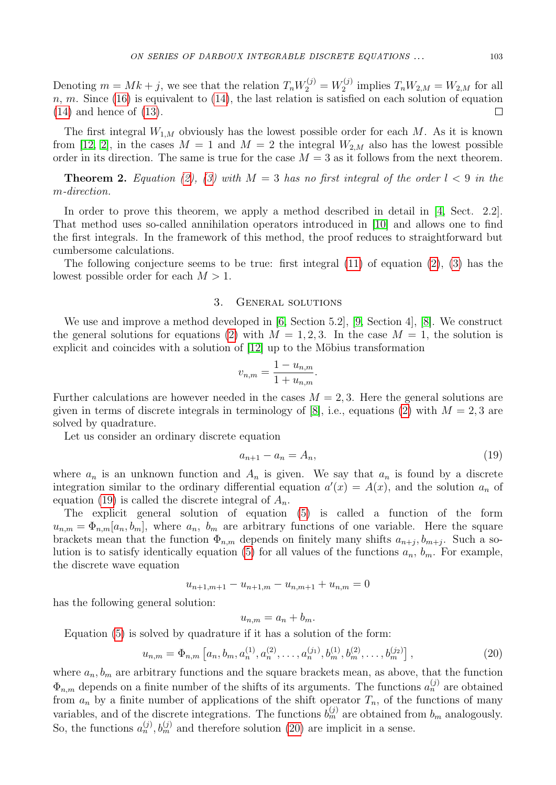Denoting  $m = Mk + j$ , we see that the relation  $T_n W_2^{(j)} = W_2^{(j)}$  $T_2^{(j)}$  implies  $T_n W_{2,M} = W_{2,M}$  for all  $n, m$ . Since [\(16\)](#page-2-3) is equivalent to [\(14\)](#page-2-2), the last relation is satisfied on each solution of equation [\(14\)](#page-2-2) and hence of [\(13\)](#page-2-5).  $\Box$ 

The first integral  $W_{1,M}$  obviously has the lowest possible order for each M. As it is known from [\[12,](#page-9-1) [2\]](#page-8-0), in the cases  $M = 1$  and  $M = 2$  the integral  $W_{2,M}$  also has the lowest possible order in its direction. The same is true for the case  $M = 3$  as it follows from the next theorem.

<span id="page-3-3"></span>**Theorem 2.** Equation [\(2\)](#page-1-4), [\(3\)](#page-1-6) with  $M = 3$  has no first integral of the order  $l < 9$  in the m-direction.

In order to prove this theorem, we apply a method described in detail in [\[4,](#page-8-3) Sect. 2.2]. That method uses so-called annihilation operators introduced in [\[10\]](#page-9-8) and allows one to find the first integrals. In the framework of this method, the proof reduces to straightforward but cumbersome calculations.

The following conjecture seems to be true: first integral  $(11)$  of equation  $(2)$ ,  $(3)$  has the lowest possible order for each  $M > 1$ .

#### 3. General solutions

<span id="page-3-0"></span>We use and improve a method developed in [\[6,](#page-9-4) Section 5.2], [\[9,](#page-9-6) Section 4], [\[8\]](#page-9-5). We construct the general solutions for equations [\(2\)](#page-1-4) with  $M = 1, 2, 3$ . In the case  $M = 1$ , the solution is explicit and coincides with a solution of  $[12]$  up to the Möbius transformation

$$
v_{n,m} = \frac{1 - u_{n,m}}{1 + u_{n,m}}.
$$

Further calculations are however needed in the cases  $M = 2, 3$ . Here the general solutions are given in terms of discrete integrals in terminology of [\[8\]](#page-9-5), i.e., equations [\(2\)](#page-1-4) with  $M = 2, 3$  are solved by quadrature.

Let us consider an ordinary discrete equation

<span id="page-3-1"></span>
$$
a_{n+1} - a_n = A_n,\tag{19}
$$

where  $a_n$  is an unknown function and  $A_n$  is given. We say that  $a_n$  is found by a discrete integration similar to the ordinary differential equation  $a'(x) = A(x)$ , and the solution  $a_n$  of equation [\(19\)](#page-3-1) is called the discrete integral of  $A_n$ .

The explicit general solution of equation [\(5\)](#page-1-3) is called a function of the form  $u_{n,m} = \Phi_{n,m}[a_n, b_m],$  where  $a_n$ ,  $b_m$  are arbitrary functions of one variable. Here the square brackets mean that the function  $\Phi_{n,m}$  depends on finitely many shifts  $a_{n+j}, b_{m+j}$ . Such a so-lution is to satisfy identically equation [\(5\)](#page-1-3) for all values of the functions  $a_n$ ,  $b_m$ . For example, the discrete wave equation

$$
u_{n+1,m+1} - u_{n+1,m} - u_{n,m+1} + u_{n,m} = 0
$$

has the following general solution:

$$
u_{n,m} = a_n + b_m.
$$

Equation [\(5\)](#page-1-3) is solved by quadrature if it has a solution of the form:

<span id="page-3-2"></span>
$$
u_{n,m} = \Phi_{n,m} \left[ a_n, b_m, a_n^{(1)}, a_n^{(2)}, \dots, a_n^{(j_1)}, b_m^{(1)}, b_m^{(2)}, \dots, b_m^{(j_2)} \right],
$$
\n(20)

where  $a_n, b_m$  are arbitrary functions and the square brackets mean, as above, that the function  $\Phi_{n,m}$  depends on a finite number of the shifts of its arguments. The functions  $a_n^{(j)}$  are obtained from  $a_n$  by a finite number of applications of the shift operator  $T_n$ , of the functions of many variables, and of the discrete integrations. The functions  $b_m^{(j)}$  are obtained from  $b_m$  analogously. So, the functions  $a_n^{(j)}$ ,  $b_m^{(j)}$  and therefore solution [\(20\)](#page-3-2) are implicit in a sense.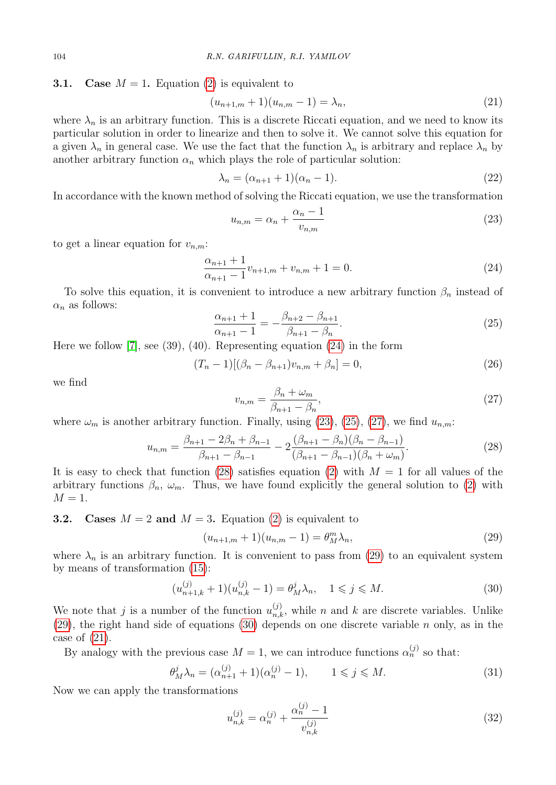## **3.1.** Case  $M = 1$ . Equation [\(2\)](#page-1-4) is equivalent to

<span id="page-4-7"></span>
$$
(u_{n+1,m}+1)(u_{n,m}-1) = \lambda_n,\tag{21}
$$

where  $\lambda_n$  is an arbitrary function. This is a discrete Riccati equation, and we need to know its particular solution in order to linearize and then to solve it. We cannot solve this equation for a given  $\lambda_n$  in general case. We use the fact that the function  $\lambda_n$  is arbitrary and replace  $\lambda_n$  by another arbitrary function  $\alpha_n$  which plays the role of particular solution:

$$
\lambda_n = (\alpha_{n+1} + 1)(\alpha_n - 1). \tag{22}
$$

In accordance with the known method of solving the Riccati equation, we use the transformation

<span id="page-4-1"></span>
$$
u_{n,m} = \alpha_n + \frac{\alpha_n - 1}{v_{n,m}}
$$
\n<sup>(23)</sup>

to get a linear equation for  $v_{n,m}$ :

<span id="page-4-0"></span>
$$
\frac{\alpha_{n+1} + 1}{\alpha_{n+1} - 1} v_{n+1,m} + v_{n,m} + 1 = 0.
$$
\n(24)

To solve this equation, it is convenient to introduce a new arbitrary function  $\beta_n$  instead of  $\alpha_n$  as follows:

<span id="page-4-2"></span>
$$
\frac{\alpha_{n+1} + 1}{\alpha_{n+1} - 1} = -\frac{\beta_{n+2} - \beta_{n+1}}{\beta_{n+1} - \beta_n}.
$$
\n(25)

Here we follow  $[7]$ , see  $(39)$ ,  $(40)$ . Representing equation  $(24)$  in the form

$$
(T_n - 1)[(\beta_n - \beta_{n+1})v_{n,m} + \beta_n] = 0,
$$
\n(26)

we find

<span id="page-4-3"></span>
$$
v_{n,m} = \frac{\beta_n + \omega_m}{\beta_{n+1} - \beta_n},\tag{27}
$$

where  $\omega_m$  is another arbitrary function. Finally, using [\(23\)](#page-4-1), [\(25\)](#page-4-2), [\(27\)](#page-4-3), we find  $u_{n,m}$ :

<span id="page-4-4"></span>
$$
u_{n,m} = \frac{\beta_{n+1} - 2\beta_n + \beta_{n-1}}{\beta_{n+1} - \beta_{n-1}} - 2\frac{(\beta_{n+1} - \beta_n)(\beta_n - \beta_{n-1})}{(\beta_{n+1} - \beta_{n-1})(\beta_n + \omega_m)}.
$$
(28)

It is easy to check that function [\(28\)](#page-4-4) satisfies equation [\(2\)](#page-1-4) with  $M = 1$  for all values of the arbitrary functions  $\beta_n$ ,  $\omega_m$ . Thus, we have found explicitly the general solution to [\(2\)](#page-1-4) with  $M = 1$ .

**3.2.** Cases  $M = 2$  and  $M = 3$ . Equation [\(2\)](#page-1-4) is equivalent to

<span id="page-4-5"></span>
$$
(u_{n+1,m} + 1)(u_{n,m} - 1) = \theta_M^m \lambda_n,
$$
\n(29)

where  $\lambda_n$  is an arbitrary function. It is convenient to pass from [\(29\)](#page-4-5) to an equivalent system by means of transformation [\(15\)](#page-2-4):

<span id="page-4-6"></span>
$$
(u_{n+1,k}^{(j)} + 1)(u_{n,k}^{(j)} - 1) = \theta_M^j \lambda_n, \quad 1 \le j \le M.
$$
\n(30)

We note that j is a number of the function  $u_{n,k}^{(j)}$ , while n and k are discrete variables. Unlike [\(29\)](#page-4-5), the right hand side of equations [\(30\)](#page-4-6) depends on one discrete variable  $n$  only, as in the case of [\(21\)](#page-4-7).

By analogy with the previous case  $M = 1$ , we can introduce functions  $\alpha_n^{(j)}$  so that:

<span id="page-4-8"></span>
$$
\theta_M^j \lambda_n = (\alpha_{n+1}^{(j)} + 1)(\alpha_n^{(j)} - 1), \qquad 1 \le j \le M. \tag{31}
$$

Now we can apply the transformations

<span id="page-4-9"></span>
$$
u_{n,k}^{(j)} = \alpha_n^{(j)} + \frac{\alpha_n^{(j)} - 1}{v_{n,k}^{(j)}}
$$
\n(32)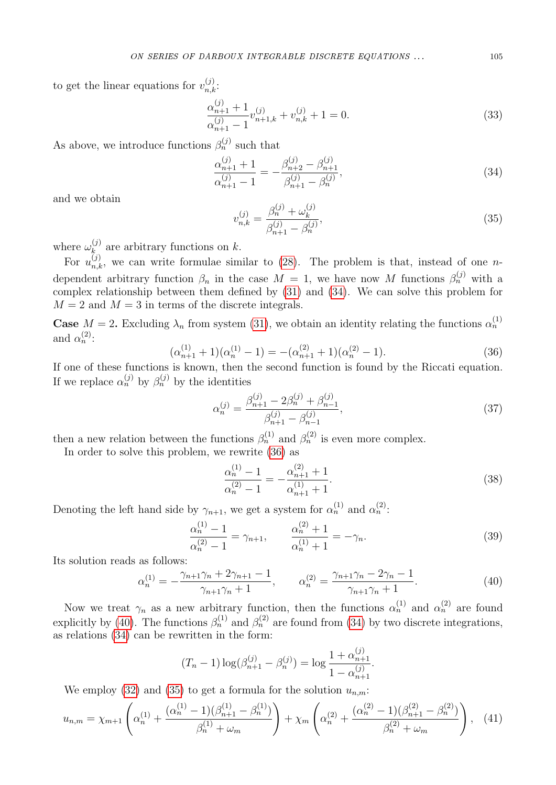to get the linear equations for  $v_{n,k}^{(j)}$ :

$$
\frac{\alpha_{n+1}^{(j)} + 1}{\alpha_{n+1}^{(j)} - 1} v_{n+1,k}^{(j)} + v_{n,k}^{(j)} + 1 = 0.
$$
\n(33)

As above, we introduce functions  $\beta_n^{(j)}$  such that

<span id="page-5-0"></span>
$$
\frac{\alpha_{n+1}^{(j)} + 1}{\alpha_{n+1}^{(j)} - 1} = -\frac{\beta_{n+2}^{(j)} - \beta_{n+1}^{(j)}}{\beta_{n+1}^{(j)} - \beta_n^{(j)}},\tag{34}
$$

and we obtain

<span id="page-5-3"></span>
$$
v_{n,k}^{(j)} = \frac{\beta_n^{(j)} + \omega_k^{(j)}}{\beta_{n+1}^{(j)} - \beta_n^{(j)}},\tag{35}
$$

where  $\omega_k^{(j)}$  $a_k^{(j)}$  are arbitrary functions on k.

For  $u_{n,k}^{(j)}$ , we can write formulae similar to [\(28\)](#page-4-4). The problem is that, instead of one *n*dependent arbitrary function  $\beta_n$  in the case  $M = 1$ , we have now M functions  $\beta_n^{(j)}$  with a complex relationship between them defined by [\(31\)](#page-4-8) and [\(34\)](#page-5-0). We can solve this problem for  $M = 2$  and  $M = 3$  in terms of the discrete integrals.

**Case**  $M = 2$ . Excluding  $\lambda_n$  from system [\(31\)](#page-4-8), we obtain an identity relating the functions  $\alpha_n^{(1)}$ and  $\alpha_n^{(2)}$ :

<span id="page-5-1"></span>
$$
(\alpha_{n+1}^{(1)} + 1)(\alpha_n^{(1)} - 1) = -(\alpha_{n+1}^{(2)} + 1)(\alpha_n^{(2)} - 1).
$$
\n(36)

If one of these functions is known, then the second function is found by the Riccati equation. If we replace  $\alpha_n^{(j)}$  by  $\beta_n^{(j)}$  by the identities

$$
\alpha_n^{(j)} = \frac{\beta_{n+1}^{(j)} - 2\beta_n^{(j)} + \beta_{n-1}^{(j)}}{\beta_{n+1}^{(j)} - \beta_{n-1}^{(j)}},\tag{37}
$$

then a new relation between the functions  $\beta_n^{(1)}$  and  $\beta_n^{(2)}$  is even more complex.

In order to solve this problem, we rewrite [\(36\)](#page-5-1) as

$$
\frac{\alpha_n^{(1)} - 1}{\alpha_n^{(2)} - 1} = -\frac{\alpha_{n+1}^{(2)} + 1}{\alpha_{n+1}^{(1)} + 1}.
$$
\n(38)

Denoting the left hand side by  $\gamma_{n+1}$ , we get a system for  $\alpha_n^{(1)}$  and  $\alpha_n^{(2)}$ :

$$
\frac{\alpha_n^{(1)} - 1}{\alpha_n^{(2)} - 1} = \gamma_{n+1}, \qquad \frac{\alpha_n^{(2)} + 1}{\alpha_n^{(1)} + 1} = -\gamma_n.
$$
\n(39)

Its solution reads as follows:

<span id="page-5-2"></span>
$$
\alpha_n^{(1)} = -\frac{\gamma_{n+1}\gamma_n + 2\gamma_{n+1} - 1}{\gamma_{n+1}\gamma_n + 1}, \qquad \alpha_n^{(2)} = \frac{\gamma_{n+1}\gamma_n - 2\gamma_n - 1}{\gamma_{n+1}\gamma_n + 1}.\tag{40}
$$

Now we treat  $\gamma_n$  as a new arbitrary function, then the functions  $\alpha_n^{(1)}$  and  $\alpha_n^{(2)}$  are found explicitly by [\(40\)](#page-5-2). The functions  $\beta_n^{(1)}$  and  $\beta_n^{(2)}$  are found from [\(34\)](#page-5-0) by two discrete integrations, as relations  $(34)$  can be rewritten in the form:

$$
(T_n - 1) \log(\beta_{n+1}^{(j)} - \beta_n^{(j)}) = \log \frac{1 + \alpha_{n+1}^{(j)}}{1 - \alpha_{n+1}^{(j)}}.
$$

We employ [\(32\)](#page-4-9) and [\(35\)](#page-5-3) to get a formula for the solution  $u_{n,m}$ :

<span id="page-5-4"></span>
$$
u_{n,m} = \chi_{m+1} \left( \alpha_n^{(1)} + \frac{(\alpha_n^{(1)} - 1)(\beta_{n+1}^{(1)} - \beta_n^{(1)})}{\beta_n^{(1)} + \omega_m} \right) + \chi_m \left( \alpha_n^{(2)} + \frac{(\alpha_n^{(2)} - 1)(\beta_{n+1}^{(2)} - \beta_n^{(2)})}{\beta_n^{(2)} + \omega_m} \right), \quad (41)
$$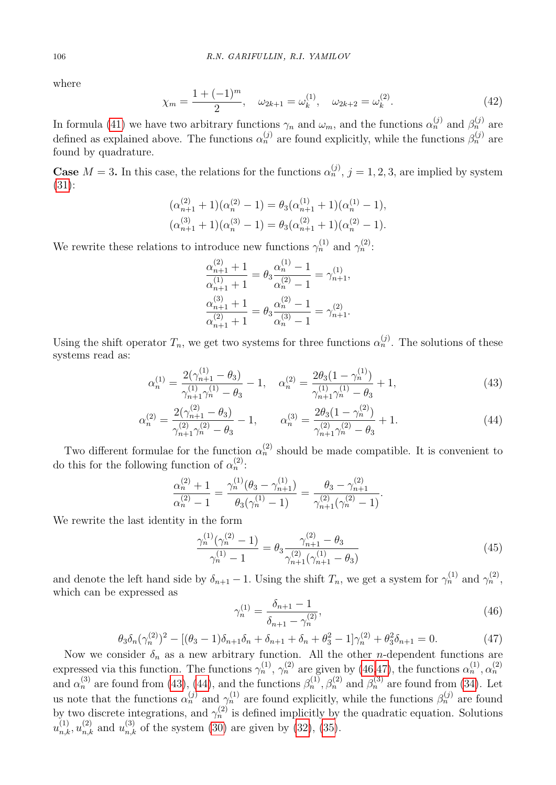where

$$
\chi_m = \frac{1 + (-1)^m}{2}, \quad \omega_{2k+1} = \omega_k^{(1)}, \quad \omega_{2k+2} = \omega_k^{(2)}.
$$
 (42)

In formula [\(41\)](#page-5-4) we have two arbitrary functions  $\gamma_n$  and  $\omega_m$ , and the functions  $\alpha_n^{(j)}$  and  $\beta_n^{(j)}$  are defined as explained above. The functions  $\alpha_n^{(j)}$  are found explicitly, while the functions  $\beta_n^{(j)}$  are found by quadrature.

**Case**  $M = 3$ . In this case, the relations for the functions  $\alpha_n^{(j)}$ ,  $j = 1, 2, 3$ , are implied by system [\(31\)](#page-4-8):

$$
(\alpha_{n+1}^{(2)} + 1)(\alpha_n^{(2)} - 1) = \theta_3(\alpha_{n+1}^{(1)} + 1)(\alpha_n^{(1)} - 1),
$$
  

$$
(\alpha_{n+1}^{(3)} + 1)(\alpha_n^{(3)} - 1) = \theta_3(\alpha_{n+1}^{(2)} + 1)(\alpha_n^{(2)} - 1).
$$

We rewrite these relations to introduce new functions  $\gamma_n^{(1)}$  and  $\gamma_n^{(2)}$ :

$$
\frac{\alpha_{n+1}^{(2)} + 1}{\alpha_{n+1}^{(1)} + 1} = \theta_3 \frac{\alpha_n^{(1)} - 1}{\alpha_n^{(2)} - 1} = \gamma_{n+1}^{(1)},
$$
  

$$
\frac{\alpha_{n+1}^{(3)} + 1}{\alpha_{n+1}^{(2)} + 1} = \theta_3 \frac{\alpha_n^{(2)} - 1}{\alpha_n^{(3)} - 1} = \gamma_{n+1}^{(2)}.
$$

Using the shift operator  $T_n$ , we get two systems for three functions  $\alpha_n^{(j)}$ . The solutions of these systems read as:

<span id="page-6-2"></span>
$$
\alpha_n^{(1)} = \frac{2(\gamma_{n+1}^{(1)} - \theta_3)}{\gamma_{n+1}^{(1)}\gamma_n^{(1)} - \theta_3} - 1, \quad \alpha_n^{(2)} = \frac{2\theta_3(1 - \gamma_n^{(1)})}{\gamma_{n+1}^{(1)}\gamma_n^{(1)} - \theta_3} + 1,\tag{43}
$$

$$
\alpha_n^{(2)} = \frac{2(\gamma_{n+1}^{(2)} - \theta_3)}{\gamma_{n+1}^{(2)}\gamma_n^{(2)} - \theta_3} - 1, \qquad \alpha_n^{(3)} = \frac{2\theta_3(1 - \gamma_n^{(2)})}{\gamma_{n+1}^{(2)}\gamma_n^{(2)} - \theta_3} + 1.
$$
\n(44)

Two different formulae for the function  $\alpha_n^{(2)}$  should be made compatible. It is convenient to do this for the following function of  $\alpha_n^{(2)}$ :

$$
\frac{\alpha_n^{(2)} + 1}{\alpha_n^{(2)} - 1} = \frac{\gamma_n^{(1)}(\theta_3 - \gamma_{n+1}^{(1)})}{\theta_3(\gamma_n^{(1)} - 1)} = \frac{\theta_3 - \gamma_{n+1}^{(2)}}{\gamma_{n+1}^{(2)}(\gamma_n^{(2)} - 1)}
$$

We rewrite the last identity in the form

$$
\frac{\gamma_n^{(1)}(\gamma_n^{(2)} - 1)}{\gamma_n^{(1)} - 1} = \theta_3 \frac{\gamma_{n+1}^{(2)} - \theta_3}{\gamma_{n+1}^{(2)}(\gamma_{n+1}^{(1)} - \theta_3)}
$$
(45)

and denote the left hand side by  $\delta_{n+1} - 1$ . Using the shift  $T_n$ , we get a system for  $\gamma_n^{(1)}$  and  $\gamma_n^{(2)}$ , which can be expressed as

<span id="page-6-0"></span>
$$
\gamma_n^{(1)} = \frac{\delta_{n+1} - 1}{\delta_{n+1} - \gamma_n^{(2)}},\tag{46}
$$

.

<span id="page-6-1"></span>
$$
\theta_3 \delta_n (\gamma_n^{(2)})^2 - [(\theta_3 - 1)\delta_{n+1}\delta_n + \delta_{n+1} + \delta_n + \theta_3^2 - 1]\gamma_n^{(2)} + \theta_3^2 \delta_{n+1} = 0. \tag{47}
$$

Now we consider  $\delta_n$  as a new arbitrary function. All the other *n*-dependent functions are expressed via this function. The functions  $\gamma_n^{(1)}$ ,  $\gamma_n^{(2)}$  are given by [\(46](#page-6-0)[,47\)](#page-6-1), the functions  $\alpha_n^{(1)}, \alpha_n^{(2)}$ and  $\alpha_n^{(3)}$  are found from [\(43\)](#page-6-2), [\(44\)](#page-6-2), and the functions  $\beta_n^{(1)}$ ,  $\beta_n^{(2)}$  and  $\beta_n^{(3)}$  are found from [\(34\)](#page-5-0). Let us note that the functions  $\alpha_n^{(j)}$  and  $\gamma_n^{(1)}$  are found explicitly, while the functions  $\beta_n^{(j)}$  are found by two discrete integrations, and  $\gamma_n^{(2)}$  is defined implicitly by the quadratic equation. Solutions  $u_{n,k}^{(1)}, u_{n,k}^{(2)}$  and  $u_{n,k}^{(3)}$  of the system [\(30\)](#page-4-6) are given by [\(32\)](#page-4-9), [\(35\)](#page-5-3).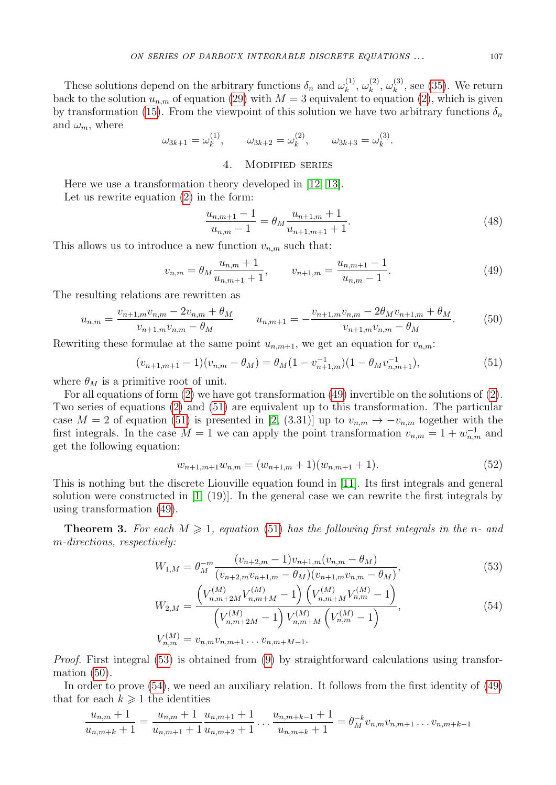These solutions depend on the arbitrary functions  $\delta_n$  and  $\omega_k^{(1)}$  $\omega_k^{(1)},\,\omega_k^{(2)}$  $\omega_k^{(2)},\,\omega_k^{(3)}$  $\mathbf{k}^{(3)}$ , see [\(35\)](#page-5-3). We return back to the solution  $u_{n,m}$  of equation [\(29\)](#page-4-5) with  $M=3$  equivalent to equation [\(2\)](#page-1-4), which is given by transformation [\(15\)](#page-2-4). From the viewpoint of this solution we have two arbitrary functions  $\delta_n$ and  $\omega_m$ , where

$$
\omega_{3k+1} = \omega_k^{(1)}, \qquad \omega_{3k+2} = \omega_k^{(2)}, \qquad \omega_{3k+3} = \omega_k^{(3)}.
$$

## 4. Modified series

<span id="page-7-0"></span>Here we use a transformation theory developed in [\[12,](#page-9-1) [13\]](#page-9-7). Let us rewrite equation [\(2\)](#page-1-4) in the form:

$$
\frac{u_{n,m+1}-1}{u_{n,m}-1} = \theta_M \frac{u_{n+1,m}+1}{u_{n+1,m+1}+1}.
$$
\n(48)

This allows us to introduce a new function  $v_{n,m}$  such that:

<span id="page-7-1"></span>
$$
v_{n,m} = \theta_M \frac{u_{n,m} + 1}{u_{n,m+1} + 1}, \qquad v_{n+1,m} = \frac{u_{n,m+1} - 1}{u_{n,m} - 1}.
$$
 (49)

The resulting relations are rewritten as

<span id="page-7-4"></span>
$$
u_{n,m} = \frac{v_{n+1,m}v_{n,m} - 2v_{n,m} + \theta_M}{v_{n+1,m}v_{n,m} - \theta_M} \qquad u_{n,m+1} = -\frac{v_{n+1,m}v_{n,m} - 2\theta_Mv_{n+1,m} + \theta_M}{v_{n+1,m}v_{n,m} - \theta_M}.
$$
(50)

Rewriting these formulae at the same point  $u_{n,m+1}$ , we get an equation for  $v_{n,m}$ :

<span id="page-7-2"></span>
$$
(v_{n+1,m+1}-1)(v_{n,m}-\theta_M) = \theta_M(1-v_{n+1,m}^{-1})(1-\theta_M v_{n,m+1}^{-1}),
$$
\n(51)

where  $\theta_M$  is a primitive root of unit.

For all equations of form  $(2)$  we have got transformation  $(49)$  invertible on the solutions of  $(2)$ . Two series of equations [\(2\)](#page-1-4) and [\(51\)](#page-7-2) are equivalent up to this transformation. The particular case  $M = 2$  of equation [\(51\)](#page-7-2) is presented in [\[2,](#page-8-0) (3.31)] up to  $v_{n,m} \to -v_{n,m}$  together with the first integrals. In the case  $M = 1$  we can apply the point transformation  $v_{n,m} = 1 + w_{n,m}^{-1}$  and get the following equation:

<span id="page-7-3"></span>
$$
w_{n+1,m+1}w_{n,m} = (w_{n+1,m}+1)(w_{n,m+1}+1). \tag{52}
$$

This is nothing but the discrete Liouville equation found in [\[11\]](#page-9-9). Its first integrals and general solution were constructed in [\[1,](#page-8-4) (19)]. In the general case we can rewrite the first integrals by using transformation [\(49\)](#page-7-1).

**Theorem 3.** For each  $M \geq 1$ , equation [\(51\)](#page-7-2) has the following first integrals in the n- and -directions, respectively:

$$
W_{1,M} = \theta_M^{-m} \frac{(v_{n+2,m} - 1)v_{n+1,m}(v_{n,m} - \theta_M)}{(v_{n+2,m}v_{n+1,m} - \theta_M)(v_{n+1,m}v_{n,m} - \theta_M)},
$$
(53)

<span id="page-7-5"></span>
$$
W_{2,M} = \frac{\left(V_{n,m+2M}^{(M)} V_{n,m+M}^{(M)} - 1\right) \left(V_{n,m+M}^{(M)} V_{n,m}^{(M)} - 1\right)}{\left(V_{n,m+2M}^{(M)} - 1\right) V_{n,m+M}^{(M)} \left(V_{n,m}^{(M)} - 1\right)},
$$
\n
$$
V_{n,m}^{(M)} = v_{n,m} v_{n,m+1} \dots v_{n,m+M-1}.
$$
\n(54)

*Proof.* First integral (53) is obtained from 
$$
(9)
$$
 by straightforward calculations using transformation  $(50)$ .

In order to prove  $(54)$ , we need an auxiliary relation. It follows from the first identity of  $(49)$ that for each  $k \geqslant 1$  the identities

$$
\frac{u_{n,m}+1}{u_{n,m+k}+1} = \frac{u_{n,m}+1}{u_{n,m+1}+1} \frac{u_{n,m+1}+1}{u_{n,m+2}+1} \dots \frac{u_{n,m+k-1}+1}{u_{n,m+k}+1} = \theta_M^{-k} v_{n,m} v_{n,m+1} \dots v_{n,m+k-1}
$$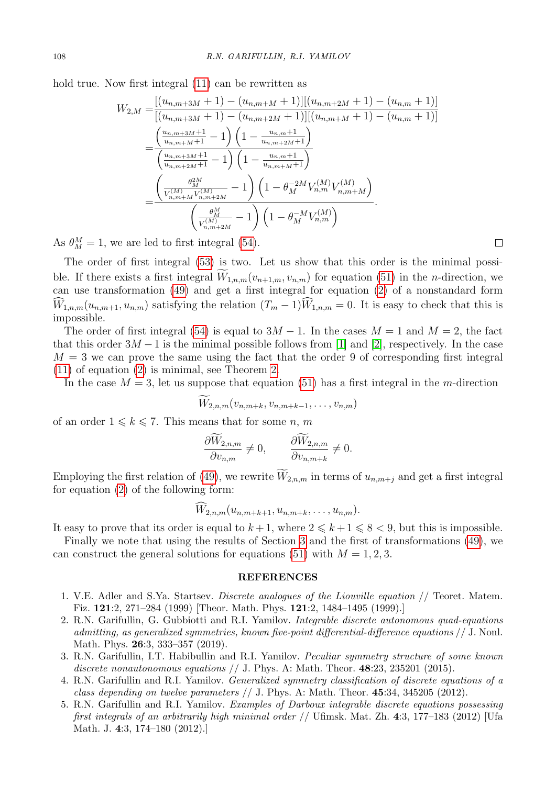hold true. Now first integral  $(11)$  can be rewritten as

$$
W_{2,M} = \frac{[(u_{n,m+3M}+1) - (u_{n,m+M}+1)][(u_{n,m+2M}+1) - (u_{n,m}+1)]}{[(u_{n,m+3M}+1) - (u_{n,m+2M}+1)][(u_{n,m+M}+1) - (u_{n,m}+1)]}
$$
  
= 
$$
\frac{\left(\frac{u_{n,m+3M}+1}{u_{n,m+M}+1} - 1\right)\left(1 - \frac{u_{n,m}+1}{u_{n,m+2M}+1}\right)}{\left(\frac{u_{n,m+3M}+1}{u_{n,m+2M}+1} - 1\right)\left(1 - \frac{u_{n,m}+1}{u_{n,m+M}+1}\right)}
$$
  
= 
$$
\frac{\left(\frac{\theta_{2M}^{2M}}{V_{n,m+M}^{(M)}V_{n,m+2M}^{(M)}} - 1\right)\left(1 - \theta_{M}^{-2M}V_{n,m}^{(M)}V_{n,m+M}^{(M)}\right)}{\left(\frac{\theta_{M}^{M}}{V_{n,m+2M}^{(M)}} - 1\right)\left(1 - \theta_{M}^{-M}V_{n,m}^{(M)}\right)}.
$$

As  $\theta_M^M = 1$ , we are led to first integral [\(54\)](#page-7-5).

The order of first integral [\(53\)](#page-7-3) is two. Let us show that this order is the minimal possible. If there exists a first integral  $\widetilde{W}_{1,n,m}(v_{n+1,m}, v_{n,m})$  for equation [\(51\)](#page-7-2) in the *n*-direction, we can use transformation [\(49\)](#page-7-1) and get a first integral for equation  $(2)$  of a nonstandard form  $\widehat{W}_{1,n,m}(u_{n,m+1}, u_{n,m})$  satisfying the relation  $(T_m - 1)\widehat{W}_{1,n,m} = 0$ . It is easy to check that this is impossible.

The order of first integral [\(54\)](#page-7-5) is equal to  $3M - 1$ . In the cases  $M = 1$  and  $M = 2$ , the fact that this order  $3M - 1$  is the minimal possible follows from [\[1\]](#page-8-4) and [\[2\]](#page-8-0), respectively. In the case  $M=3$  we can prove the same using the fact that the order 9 of corresponding first integral [\(11\)](#page-2-1) of equation [\(2\)](#page-1-4) is minimal, see Theorem [2.](#page-3-3)

In the case  $M = 3$ , let us suppose that equation [\(51\)](#page-7-2) has a first integral in the m-direction

$$
W_{2,n,m}(v_{n,m+k},v_{n,m+k-1},\ldots,v_{n,m})
$$

of an order  $1 \leq k \leq 7$ . This means that for some n, m

$$
\frac{\partial W_{2,n,m}}{\partial v_{n,m}} \neq 0, \qquad \frac{\partial W_{2,n,m}}{\partial v_{n,m+k}} \neq 0.
$$

Employing the first relation of [\(49\)](#page-7-1), we rewrite  $\widetilde{W}_{2,n,m}$  in terms of  $u_{n,m+j}$  and get a first integral for equation [\(2\)](#page-1-4) of the following form:

$$
W_{2,n,m}(u_{n,m+k+1},u_{n,m+k},\ldots,u_{n,m}).
$$

It easy to prove that its order is equal to  $k+1$ , where  $2 \leq k+1 \leq 8 < 9$ , but this is impossible.

Finally we note that using the results of Section [3](#page-3-0) and the first of transformations [\(49\)](#page-7-1), we can construct the general solutions for equations [\(51\)](#page-7-2) with  $M = 1, 2, 3$ .

#### REFERENCES

- <span id="page-8-4"></span>1. V.E. Adler and S.Ya. Startsev. Discrete analogues of the Liouville equation // Teoret. Matem. Fiz. 121:2, 271–284 (1999) [Theor. Math. Phys. 121:2, 1484–1495 (1999).]
- <span id="page-8-0"></span>2. R.N. Garifullin, G. Gubbiotti and R.I. Yamilov. Integrable discrete autonomous quad-equations admitting, as generalized symmetries, known five-point differential-difference equations // J. Nonl. Math. Phys. 26:3, 333–357 (2019).
- <span id="page-8-2"></span>3. R.N. Garifullin, I.T. Habibullin and R.I. Yamilov. Peculiar symmetry structure of some known discrete nonautonomous equations  $//$  J. Phys. A: Math. Theor.  $48:23$ ,  $235201$  (2015).
- <span id="page-8-3"></span>4. R.N. Garifullin and R.I. Yamilov. Generalized symmetry classification of discrete equations of a class depending on twelve parameters  $//$  J. Phys. A: Math. Theor. 45:34, 345205 (2012).
- <span id="page-8-1"></span>5. R.N. Garifullin and R.I. Yamilov. Examples of Darboux integrable discrete equations possessing first integrals of an arbitrarily high minimal order // Ufimsk. Mat. Zh. 4:3, 177–183 (2012) [Ufa Math. J. 4:3, 174–180 (2012).]

 $\Box$